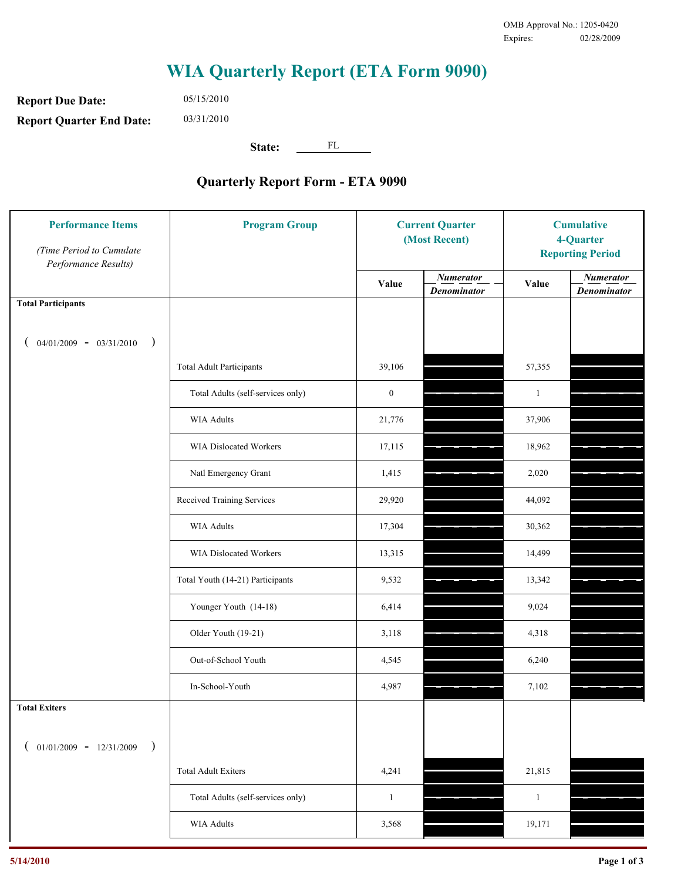## **WIA Quarterly Report (ETA Form 9090)**

**Report Due Date: Report Quarter End Date:** 03/31/2010

05/15/2010

**State:** FL

## **Quarterly Report Form - ETA 9090**

| <b>Performance Items</b><br>(Time Period to Cumulate<br>Performance Results) | <b>Program Group</b>              | <b>Current Quarter</b><br>(Most Recent) |                                        | <b>Cumulative</b><br>4-Quarter<br><b>Reporting Period</b> |                                        |
|------------------------------------------------------------------------------|-----------------------------------|-----------------------------------------|----------------------------------------|-----------------------------------------------------------|----------------------------------------|
|                                                                              |                                   | Value                                   | <b>Numerator</b><br><b>Denominator</b> | Value                                                     | <b>Numerator</b><br><b>Denominator</b> |
| <b>Total Participants</b>                                                    |                                   |                                         |                                        |                                                           |                                        |
| $04/01/2009 - 03/31/2010$<br>$\big)$                                         |                                   |                                         |                                        |                                                           |                                        |
|                                                                              | <b>Total Adult Participants</b>   | 39,106                                  |                                        | 57,355                                                    |                                        |
|                                                                              | Total Adults (self-services only) | $\boldsymbol{0}$                        |                                        | $\mathbf{1}$                                              |                                        |
|                                                                              | <b>WIA Adults</b>                 | 21,776                                  |                                        | 37,906                                                    |                                        |
|                                                                              | WIA Dislocated Workers            | 17,115                                  |                                        | 18,962                                                    |                                        |
|                                                                              | Natl Emergency Grant              | 1,415                                   |                                        | 2,020                                                     |                                        |
|                                                                              | Received Training Services        | 29,920                                  |                                        | 44,092                                                    |                                        |
|                                                                              | <b>WIA Adults</b>                 | 17,304                                  |                                        | 30,362                                                    |                                        |
|                                                                              | WIA Dislocated Workers            | 13,315                                  |                                        | 14,499                                                    |                                        |
|                                                                              | Total Youth (14-21) Participants  | 9,532                                   |                                        | 13,342                                                    |                                        |
|                                                                              | Younger Youth (14-18)             | 6,414                                   |                                        | 9,024                                                     |                                        |
|                                                                              | Older Youth (19-21)               | 3,118                                   |                                        | 4,318                                                     |                                        |
|                                                                              | Out-of-School Youth               | 4,545                                   |                                        | 6,240                                                     |                                        |
|                                                                              | In-School-Youth                   | 4,987                                   |                                        | 7,102                                                     |                                        |
| <b>Total Exiters</b>                                                         |                                   |                                         |                                        |                                                           |                                        |
| $01/01/2009 - 12/31/2009$                                                    |                                   |                                         |                                        |                                                           |                                        |
|                                                                              | <b>Total Adult Exiters</b>        | 4,241                                   |                                        | 21,815                                                    |                                        |
|                                                                              | Total Adults (self-services only) | $\mathbf{1}$                            |                                        | $\mathbf{1}$                                              |                                        |
|                                                                              | WIA Adults                        | 3,568                                   |                                        | 19,171                                                    |                                        |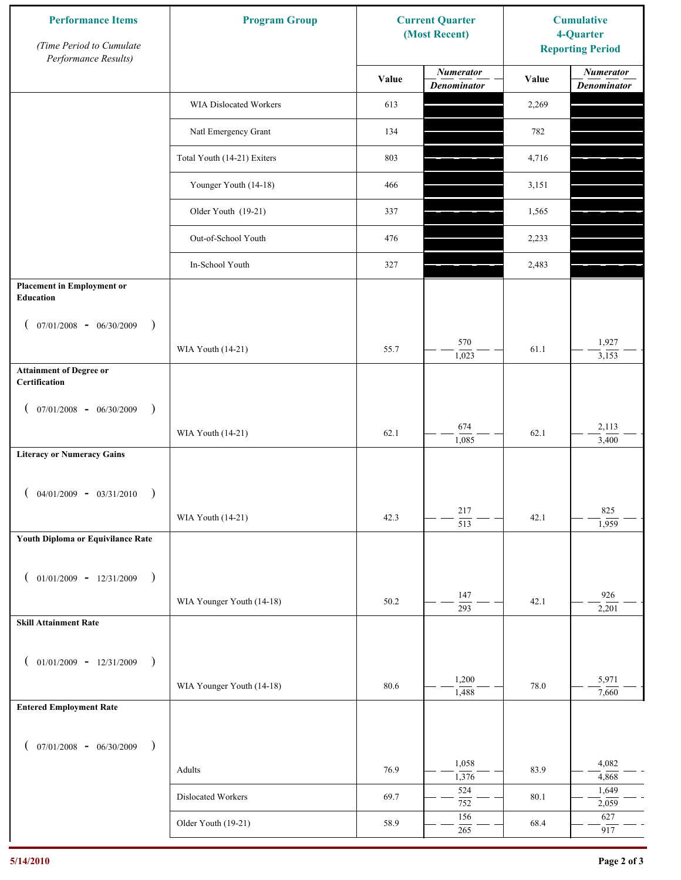| <b>Performance Items</b><br>(Time Period to Cumulate<br>Performance Results) | <b>Program Group</b>          | <b>Current Quarter</b><br>(Most Recent) |                                        | <b>Cumulative</b><br>4-Quarter<br><b>Reporting Period</b> |                                        |
|------------------------------------------------------------------------------|-------------------------------|-----------------------------------------|----------------------------------------|-----------------------------------------------------------|----------------------------------------|
|                                                                              |                               | Value                                   | <b>Numerator</b><br><b>Denominator</b> | Value                                                     | <b>Numerator</b><br><b>Denominator</b> |
|                                                                              | <b>WIA Dislocated Workers</b> | 613                                     |                                        | 2,269                                                     |                                        |
|                                                                              | Natl Emergency Grant          | 134                                     |                                        | 782                                                       |                                        |
|                                                                              | Total Youth (14-21) Exiters   | 803                                     |                                        | 4,716                                                     |                                        |
|                                                                              | Younger Youth (14-18)         | 466                                     |                                        | 3,151                                                     |                                        |
|                                                                              | Older Youth (19-21)           | 337                                     |                                        | 1,565                                                     |                                        |
|                                                                              | Out-of-School Youth           | 476                                     |                                        | 2,233                                                     |                                        |
|                                                                              | In-School Youth               | 327                                     |                                        | 2,483                                                     |                                        |
| <b>Placement in Employment or</b><br><b>Education</b>                        |                               |                                         |                                        |                                                           |                                        |
| $07/01/2008$ - $06/30/2009$<br>$\rightarrow$                                 |                               |                                         |                                        |                                                           |                                        |
|                                                                              | WIA Youth (14-21)             | 55.7                                    | 570<br>1,023                           | 61.1                                                      | 1,927<br>3,153                         |
| <b>Attainment of Degree or</b><br>Certification                              |                               |                                         |                                        |                                                           |                                        |
| $07/01/2008$ - 06/30/2009<br>$\lambda$                                       |                               |                                         |                                        |                                                           |                                        |
|                                                                              | WIA Youth (14-21)             | 62.1                                    | 674<br>1,085                           | 62.1                                                      | 2,113<br>3,400                         |
| <b>Literacy or Numeracy Gains</b>                                            |                               |                                         |                                        |                                                           |                                        |
| $04/01/2009 - 03/31/2010$                                                    |                               |                                         |                                        |                                                           |                                        |
|                                                                              | WIA Youth (14-21)             | 42.3                                    | 217<br>$\overline{513}$                | 42.1                                                      | 825<br>1,959                           |
| Youth Diploma or Equivilance Rate                                            |                               |                                         |                                        |                                                           |                                        |
| $01/01/2009$ - $12/31/2009$<br>$\rightarrow$                                 |                               |                                         |                                        |                                                           |                                        |
|                                                                              | WIA Younger Youth (14-18)     | 50.2                                    | 147<br>$\overline{293}$                | 42.1                                                      | 926                                    |
| <b>Skill Attainment Rate</b>                                                 |                               |                                         |                                        |                                                           | 2,201                                  |
| $01/01/2009 - 12/31/2009$                                                    |                               |                                         |                                        |                                                           |                                        |
| $\rightarrow$                                                                | WIA Younger Youth (14-18)     | 80.6                                    | 1,200                                  | 78.0                                                      | 5,971                                  |
| <b>Entered Employment Rate</b>                                               |                               |                                         | 1,488                                  |                                                           | 7,660                                  |
|                                                                              |                               |                                         |                                        |                                                           |                                        |
| $07/01/2008$ - $06/30/2009$<br>$\rightarrow$                                 |                               |                                         | 1,058                                  |                                                           | 4,082                                  |
|                                                                              | Adults                        | 76.9                                    | 1,376<br>524                           | 83.9                                                      | 4,868<br>1,649                         |
|                                                                              | Dislocated Workers            | 69.7                                    | 752                                    | 80.1                                                      | 2,059                                  |
|                                                                              | Older Youth (19-21)           | 58.9                                    | 156<br>265                             | 68.4                                                      | 627<br>917                             |